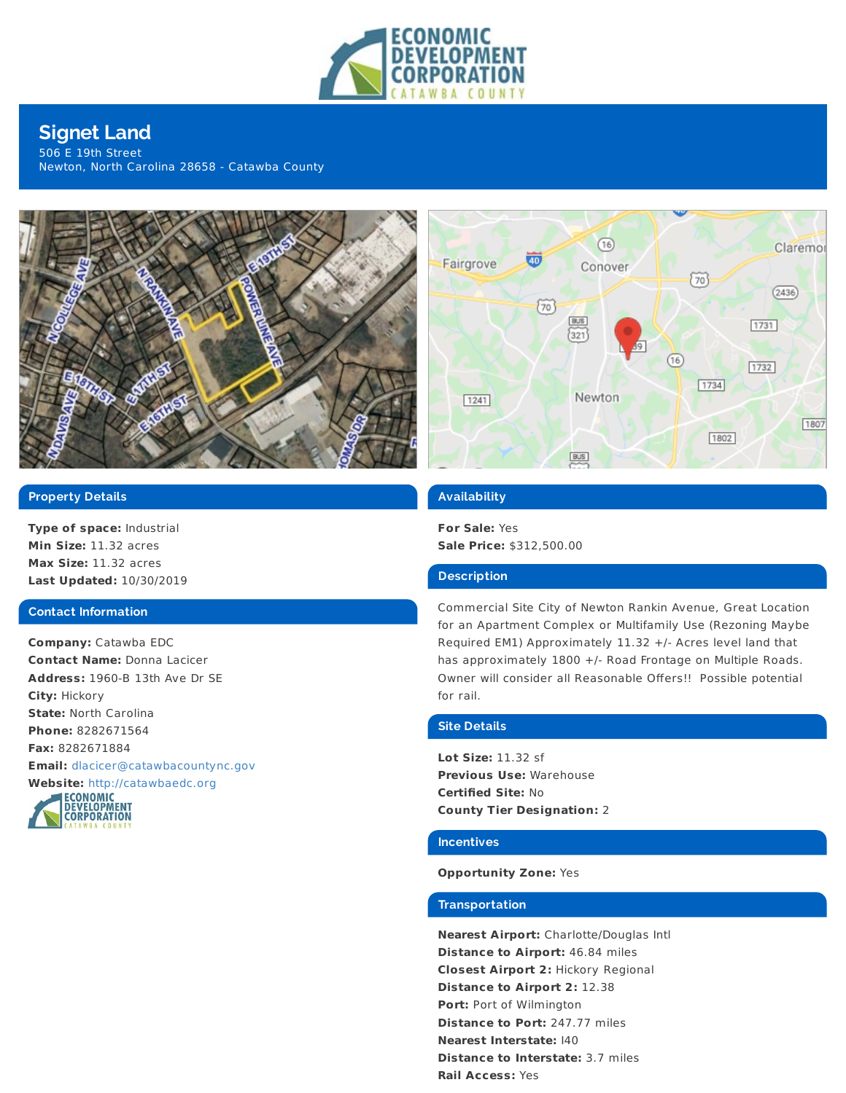

# **Signet Land**

506 E 19th Street Newton, North Carolina 28658 - Catawba County





# **Property Details**

**Type of space:** Industrial **Min Size:** 11.32 acres **Max Size:** 11.32 acres **Last Updated:** 10/30/2019

#### **Contact Information**

**Company:** Catawba EDC **Contact Name:** Donna Lacicer **Address:** 1960-B 13th Ave Dr SE **City:** Hickory **State:** North Carolina **Phone:** 8282671564 **Fax:** 8282671884 **Email:** [dlacicer@catawbacountync.gov](mailto:dlacicer@catawbacountync.gov)



#### **Availability**

**For Sale:** Yes **Sale Price:** \$312,500.00

#### **Description**

Commercial Site City of Newton Rankin Avenue, Great Location for an Apartment Complex or Multifamily Use (Rezoning Maybe Required EM1) Approximately 11.32 +/- Acres level land that has approximately 1800 +/- Road Frontage on Multiple Roads. Owner will consider all Reasonable Offers!! Possible potential for rail.

#### **Site Details**

**Lot Size:** 11.32 sf **Previous Use:** Warehouse **Certified Site:** No **County Tier Designation:** 2

#### **Incentives**

### **Opportunity Zone:** Yes

### **Transportation**

**Nearest Airport:** Charlotte/Douglas Intl **Distance to Airport:** 46.84 miles **Closest Airport 2:** Hickory Regional **Distance to Airport 2:** 12.38 **Port:** Port of Wilmington **Distance to Port:** 247.77 miles **Nearest Interstate:** I40 **Distance to Interstate:** 3.7 miles **Rail Access:** Yes